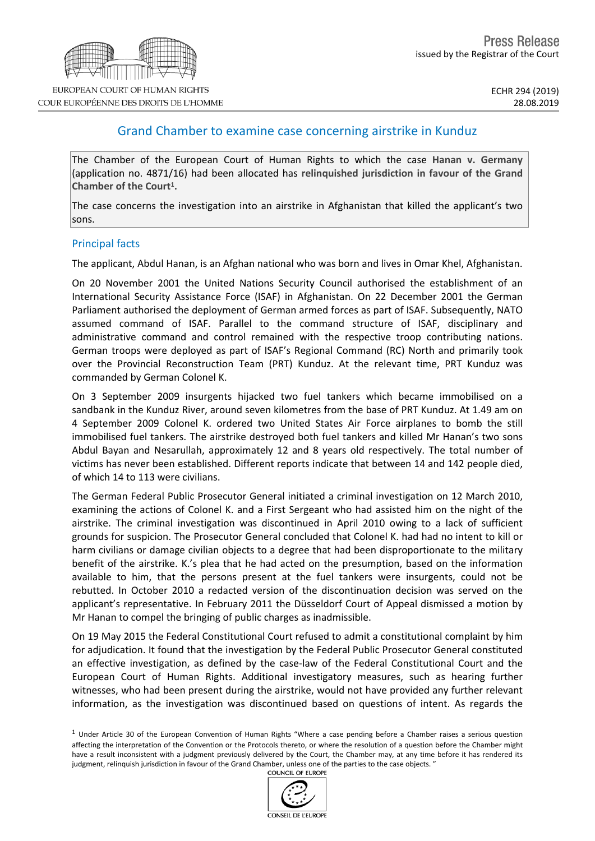## Grand Chamber to examine case concerning airstrike in Kunduz

The Chamber of the European Court of Human Rights to which the case **Hanan v. Germany** (application no. 4871/16) had been allocated has **relinquished jurisdiction in favour of the Grand Chamber of the Court<sup>1</sup> .**

The case concerns the investigation into an airstrike in Afghanistan that killed the applicant's two sons.

## Principal facts

The applicant, Abdul Hanan, is an Afghan national who was born and lives in Omar Khel, Afghanistan.

On 20 November 2001 the United Nations Security Council authorised the establishment of an International Security Assistance Force (ISAF) in Afghanistan. On 22 December 2001 the German Parliament authorised the deployment of German armed forces as part of ISAF. Subsequently, NATO assumed command of ISAF. Parallel to the command structure of ISAF, disciplinary and administrative command and control remained with the respective troop contributing nations. German troops were deployed as part of ISAF's Regional Command (RC) North and primarily took over the Provincial Reconstruction Team (PRT) Kunduz. At the relevant time, PRT Kunduz was commanded by German Colonel K.

On 3 September 2009 insurgents hijacked two fuel tankers which became immobilised on a sandbank in the Kunduz River, around seven kilometres from the base of PRT Kunduz. At 1.49 am on 4 September 2009 Colonel K. ordered two United States Air Force airplanes to bomb the still immobilised fuel tankers. The airstrike destroyed both fuel tankers and killed Mr Hanan's two sons Abdul Bayan and Nesarullah, approximately 12 and 8 years old respectively. The total number of victims has never been established. Different reports indicate that between 14 and 142 people died, of which 14 to 113 were civilians.

The German Federal Public Prosecutor General initiated a criminal investigation on 12 March 2010, examining the actions of Colonel K. and a First Sergeant who had assisted him on the night of the airstrike. The criminal investigation was discontinued in April 2010 owing to a lack of sufficient grounds for suspicion. The Prosecutor General concluded that Colonel K. had had no intent to kill or harm civilians or damage civilian objects to a degree that had been disproportionate to the military benefit of the airstrike. K.'s plea that he had acted on the presumption, based on the information available to him, that the persons present at the fuel tankers were insurgents, could not be rebutted. In October 2010 a redacted version of the discontinuation decision was served on the applicant's representative. In February 2011 the Düsseldorf Court of Appeal dismissed a motion by Mr Hanan to compel the bringing of public charges as inadmissible.

On 19 May 2015 the Federal Constitutional Court refused to admit a constitutional complaint by him for adjudication. It found that the investigation by the Federal Public Prosecutor General constituted an effective investigation, as defined by the case-law of the Federal Constitutional Court and the European Court of Human Rights. Additional investigatory measures, such as hearing further witnesses, who had been present during the airstrike, would not have provided any further relevant information, as the investigation was discontinued based on questions of intent. As regards the

 $1$  Under Article 30 of the European Convention of Human Rights "Where a case pending before a Chamber raises a serious question affecting the interpretation of the Convention or the Protocols thereto, or where the resolution of a question before the Chamber might have a result inconsistent with a judgment previously delivered by the Court, the Chamber may, at any time before it has rendered its judgment, relinquish jurisdiction in favour of the Grand Chamber, unless one of the parties to the case objects. "